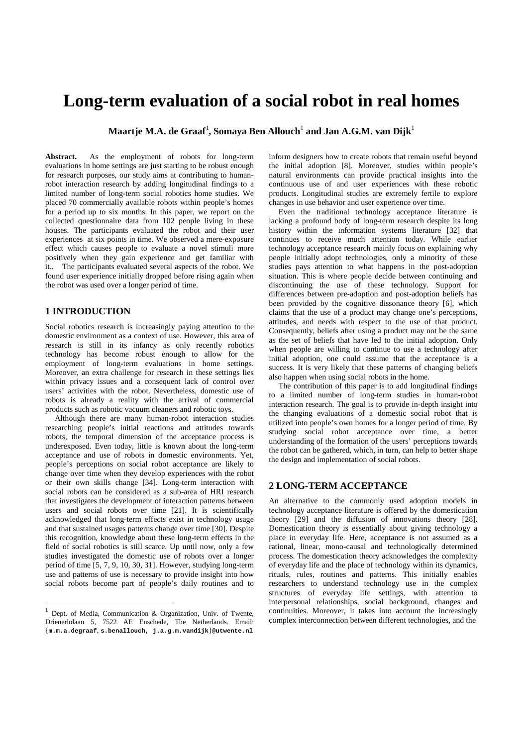# **Long-term evaluation of a social robot in real homes**

 $\mathbf{M}$ aartje M.A. de Graaf<sup>1</sup>, Somaya Ben Allouch $^1$  and Jan A.G.M. van Dijk $^1$ 

**Abstract.** As the employment of robots for long-term evaluations in home settings are just starting to be robust enough for research purposes, our study aims at contributing to humanrobot interaction research by adding longitudinal findings to a limited number of long-term social robotics home studies. We placed 70 commercially available robots within people's homes for a period up to six months. In this paper, we report on the collected questionnaire data from 102 people living in these houses. The participants evaluated the robot and their user experiences at six points in time. We observed a mere-exposure effect which causes people to evaluate a novel stimuli more positively when they gain experience and get familiar with it.. The participants evaluated several aspects of the robot. We found user experience initially dropped before rising again when the robot was used over a longer period of time.

# **1 INTRODUCTION**

<u>.</u>

Social robotics research is increasingly paying attention to the domestic environment as a context of use. However, this area of research is still in its infancy as only recently robotics technology has become robust enough to allow for the employment of long-term evaluations in home settings. Moreover, an extra challenge for research in these settings lies within privacy issues and a consequent lack of control over users' activities with the robot. Nevertheless, domestic use of robots is already a reality with the arrival of commercial products such as robotic vacuum cleaners and robotic toys.

Although there are many human-robot interaction studies researching people's initial reactions and attitudes towards robots, the temporal dimension of the acceptance process is underexposed. Even today, little is known about the long-term acceptance and use of robots in domestic environments. Yet, people's perceptions on social robot acceptance are likely to change over time when they develop experiences with the robot or their own skills change [34]. Long-term interaction with social robots can be considered as a sub-area of HRI research that investigates the development of interaction patterns between users and social robots over time [21]. It is scientifically acknowledged that long-term effects exist in technology usage and that sustained usages patterns change over time [30]. Despite this recognition, knowledge about these long-term effects in the field of social robotics is still scarce. Up until now, only a few studies investigated the domestic use of robots over a longer period of time [5, 7, 9, 10, 30, 31]. However, studying long-term use and patterns of use is necessary to provide insight into how social robots become part of people's daily routines and to

inform designers how to create robots that remain useful beyond the initial adoption [8]. Moreover, studies within people's natural environments can provide practical insights into the continuous use of and user experiences with these robotic products. Longitudinal studies are extremely fertile to explore changes in use behavior and user experience over time.

Even the traditional technology acceptance literature is lacking a profound body of long-term research despite its long history within the information systems literature [32] that continues to receive much attention today. While earlier technology acceptance research mainly focus on explaining why people initially adopt technologies, only a minority of these studies pays attention to what happens in the post-adoption situation. This is where people decide between continuing and discontinuing the use of these technology. Support for differences between pre-adoption and post-adoption beliefs has been provided by the cognitive dissonance theory [6], which claims that the use of a product may change one's perceptions, attitudes, and needs with respect to the use of that product. Consequently, beliefs after using a product may not be the same as the set of beliefs that have led to the initial adoption. Only when people are willing to continue to use a technology after initial adoption, one could assume that the acceptance is a success. It is very likely that these patterns of changing beliefs also happen when using social robots in the home.

The contribution of this paper is to add longitudinal findings to a limited number of long-term studies in human-robot interaction research. The goal is to provide in-depth insight into the changing evaluations of a domestic social robot that is utilized into people's own homes for a longer period of time. By studying social robot acceptance over time, a better understanding of the formation of the users' perceptions towards the robot can be gathered, which, in turn, can help to better shape the design and implementation of social robots.

#### **2 LONG-TERM ACCEPTANCE**

An alternative to the commonly used adoption models in technology acceptance literature is offered by the domestication theory [29] and the diffusion of innovations theory [28]. Domestication theory is essentially about giving technology a place in everyday life. Here, acceptance is not assumed as a rational, linear, mono-causal and technologically determined process. The domestication theory acknowledges the complexity of everyday life and the place of technology within its dynamics, rituals, rules, routines and patterns. This initially enables researchers to understand technology use in the complex structures of everyday life settings, with attention to interpersonal relationships, social background, changes and continuities. Moreover, it takes into account the increasingly complex interconnection between different technologies, and the

<span id="page-0-1"></span><span id="page-0-0"></span>Dept. of Media, Communication & Organization, Univ. of Twente, Drienerlolaan 5, 7522 AE Enschede, The Netherlands. Email: {**m.m.a.degraaf**, **s.benallouch, j.a.g.m.vandijk**}**@utwente.nl**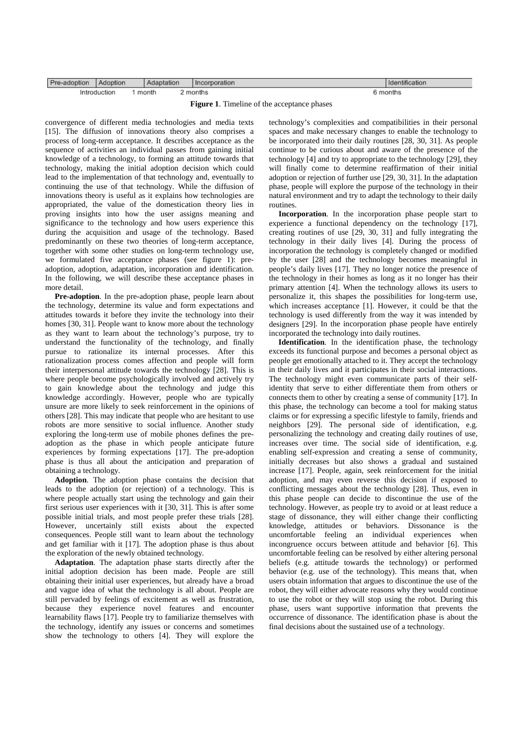| Pre-adoption | Adoption     | Adaptation |  | orporation<br>In | Identification |
|--------------|--------------|------------|--|------------------|----------------|
|              | Introduction | month      |  | months           | months         |

**Figure 1**. Timeline of the acceptance phases

convergence of different media technologies and media texts [15]. The diffusion of innovations theory also comprises a process of long-term acceptance. It describes acceptance as the sequence of activities an individual passes from gaining initial knowledge of a technology, to forming an attitude towards that technology, making the initial adoption decision which could lead to the implementation of that technology and, eventually to continuing the use of that technology. While the diffusion of innovations theory is useful as it explains how technologies are appropriated, the value of the domestication theory lies in proving insights into how the user assigns meaning and significance to the technology and how users experience this during the acquisition and usage of the technology. Based predominantly on these two theories of long-term acceptance, together with some other studies on long-term technology use, we formulated five acceptance phases (see figure 1): preadoption, adoption, adaptation, incorporation and identification. In the following, we will describe these acceptance phases in more detail.

**Pre-adoption**. In the pre-adoption phase, people learn about the technology, determine its value and form expectations and attitudes towards it before they invite the technology into their homes [30, 31]. People want to know more about the technology as they want to learn about the technology's purpose, try to understand the functionality of the technology, and finally pursue to rationalize its internal processes. After this rationalization process comes affection and people will form their interpersonal attitude towards the technology [28]. This is where people become psychologically involved and actively try to gain knowledge about the technology and judge this knowledge accordingly. However, people who are typically unsure are more likely to seek reinforcement in the opinions of others [28]. This may indicate that people who are hesitant to use robots are more sensitive to social influence. Another study exploring the long-term use of mobile phones defines the preadoption as the phase in which people anticipate future experiences by forming expectations [17]. The pre-adoption phase is thus all about the anticipation and preparation of obtaining a technology.

**Adoption**. The adoption phase contains the decision that leads to the adoption (or rejection) of a technology. This is where people actually start using the technology and gain their first serious user experiences with it [30, 31]. This is after some possible initial trials, and most people prefer these trials [28]. However, uncertainly still exists about the expected consequences. People still want to learn about the technology and get familiar with it [17]. The adoption phase is thus about the exploration of the newly obtained technology.

**Adaptation**. The adaptation phase starts directly after the initial adoption decision has been made. People are still obtaining their initial user experiences, but already have a broad and vague idea of what the technology is all about. People are still pervaded by feelings of excitement as well as frustration, because they experience novel features and encounter learnability flaws [17]. People try to familiarize themselves with the technology, identify any issues or concerns and sometimes show the technology to others [4]. They will explore the

technology's complexities and compatibilities in their personal spaces and make necessary changes to enable the technology to be incorporated into their daily routines [28, 30, 31]. As people continue to be curious about and aware of the presence of the technology [4] and try to appropriate to the technology [29], they will finally come to determine reaffirmation of their initial adoption or rejection of further use [29, 30, 31]. In the adaptation phase, people will explore the purpose of the technology in their natural environment and try to adapt the technology to their daily routines.

**Incorporation**. In the incorporation phase people start to experience a functional dependency on the technology [17], creating routines of use [29, 30, 31] and fully integrating the technology in their daily lives [4]. During the process of incorporation the technology is completely changed or modified by the user [28] and the technology becomes meaningful in people's daily lives [17]. They no longer notice the presence of the technology in their homes as long as it no longer has their primary attention [4]. When the technology allows its users to personalize it, this shapes the possibilities for long-term use, which increases acceptance [1]. However, it could be that the technology is used differently from the way it was intended by designers [29]. In the incorporation phase people have entirely incorporated the technology into daily routines.

**Identification**. In the identification phase, the technology exceeds its functional purpose and becomes a personal object as people get emotionally attached to it. They accept the technology in their daily lives and it participates in their social interactions. The technology might even communicate parts of their selfidentity that serve to either differentiate them from others or connects them to other by creating a sense of community [17]. In this phase, the technology can become a tool for making status claims or for expressing a specific lifestyle to family, friends and neighbors [29]. The personal side of identification, e.g. personalizing the technology and creating daily routines of use, increases over time. The social side of identification, e.g. enabling self-expression and creating a sense of community, initially decreases but also shows a gradual and sustained increase [17]. People, again, seek reinforcement for the initial adoption, and may even reverse this decision if exposed to conflicting messages about the technology [28]. Thus, even in this phase people can decide to discontinue the use of the technology. However, as people try to avoid or at least reduce a stage of dissonance, they will either change their conflicting knowledge, attitudes or behaviors. Dissonance is the uncomfortable feeling an individual experiences when incongruence occurs between attitude and behavior [6]. This uncomfortable feeling can be resolved by either altering personal beliefs (e.g. attitude towards the technology) or performed behavior (e.g. use of the technology). This means that, when users obtain information that argues to discontinue the use of the robot, they will either advocate reasons why they would continue to use the robot or they will stop using the robot. During this phase, users want supportive information that prevents the occurrence of dissonance. The identification phase is about the final decisions about the sustained use of a technology.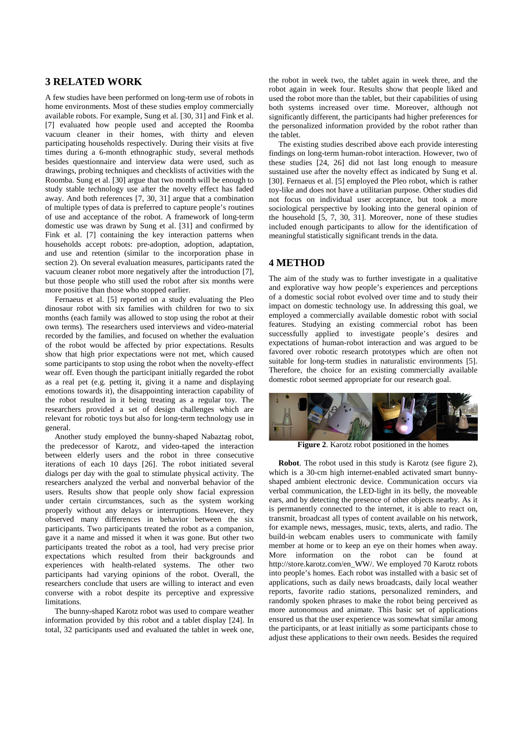# **3 RELATED WORK**

A few studies have been performed on long-term use of robots in home environments. Most of these studies employ commercially available robots. For example, Sung et al. [30, 31] and Fink et al. [7] evaluated how people used and accepted the Roomba vacuum cleaner in their homes, with thirty and eleven participating households respectively. During their visits at five times during a 6-month ethnographic study, several methods besides questionnaire and interview data were used, such as drawings, probing techniques and checklists of activities with the Roomba. Sung et al. [30] argue that two month will be enough to study stable technology use after the novelty effect has faded away. And both references [7, 30, 31] argue that a combination of multiple types of data is preferred to capture people's routines of use and acceptance of the robot. A framework of long-term domestic use was drawn by Sung et al. [31] and confirmed by Fink et al. [7] containing the key interaction patterns when households accept robots: pre-adoption, adoption, adaptation, and use and retention (similar to the incorporation phase in section 2). On several evaluation measures, participants rated the vacuum cleaner robot more negatively after the introduction [7], but those people who still used the robot after six months were more positive than those who stopped earlier.

Fernaeus et al. [5] reported on a study evaluating the Pleo dinosaur robot with six families with children for two to six months (each family was allowed to stop using the robot at their own terms). The researchers used interviews and video-material recorded by the families, and focused on whether the evaluation of the robot would be affected by prior expectations. Results show that high prior expectations were not met, which caused some participants to stop using the robot when the novelty-effect wear off. Even though the participant initially regarded the robot as a real pet (e.g. petting it, giving it a name and displaying emotions towards it), the disappointing interaction capability of the robot resulted in it being treating as a regular toy. The researchers provided a set of design challenges which are relevant for robotic toys but also for long-term technology use in general.

Another study employed the bunny-shaped Nabaztag robot, the predecessor of Karotz, and video-taped the interaction between elderly users and the robot in three consecutive iterations of each 10 days [26]. The robot initiated several dialogs per day with the goal to stimulate physical activity. The researchers analyzed the verbal and nonverbal behavior of the users. Results show that people only show facial expression under certain circumstances, such as the system working properly without any delays or interruptions. However, they observed many differences in behavior between the six participants. Two participants treated the robot as a companion, gave it a name and missed it when it was gone. But other two participants treated the robot as a tool, had very precise prior expectations which resulted from their backgrounds and experiences with health-related systems. The other two participants had varying opinions of the robot. Overall, the researchers conclude that users are willing to interact and even converse with a robot despite its perceptive and expressive **limitations** 

The bunny-shaped Karotz robot was used to compare weather information provided by this robot and a tablet display [24]. In total, 32 participants used and evaluated the tablet in week one,

the robot in week two, the tablet again in week three, and the robot again in week four. Results show that people liked and used the robot more than the tablet, but their capabilities of using both systems increased over time. Moreover, although not significantly different, the participants had higher preferences for the personalized information provided by the robot rather than the tablet.

The existing studies described above each provide interesting findings on long-term human-robot interaction. However, two of these studies [24, 26] did not last long enough to measure sustained use after the novelty effect as indicated by Sung et al. [30]. Fernaeus et al. [5] employed the Pleo robot, which is rather toy-like and does not have a utilitarian purpose. Other studies did not focus on individual user acceptance, but took a more sociological perspective by looking into the general opinion of the household [5, 7, 30, 31]. Moreover, none of these studies included enough participants to allow for the identification of meaningful statistically significant trends in the data.

## **4 METHOD**

The aim of the study was to further investigate in a qualitative and explorative way how people's experiences and perceptions of a domestic social robot evolved over time and to study their impact on domestic technology use. In addressing this goal, we employed a commercially available domestic robot with social features. Studying an existing commercial robot has been successfully applied to investigate people's desires and expectations of human-robot interaction and was argued to be favored over robotic research prototypes which are often not suitable for long-term studies in naturalistic environments [5]. Therefore, the choice for an existing commercially available domestic robot seemed appropriate for our research goal.



**Figure 2**. Karotz robot positioned in the homes

**Robot**. The robot used in this study is Karotz (see figure 2), which is a 30-cm high internet-enabled activated smart bunnyshaped ambient electronic device. Communication occurs via verbal communication, the LED-light in its belly, the moveable ears, and by detecting the presence of other objects nearby. As it is permanently connected to the internet, it is able to react on, transmit, broadcast all types of content available on his network, for example news, messages, music, texts, alerts, and radio. The build-in webcam enables users to communicate with family member at home or to keep an eye on their homes when away. More information on the robot can be found at http://store.karotz.com/en\_WW/. We employed 70 Karotz robots into people's homes. Each robot was installed with a basic set of applications, such as daily news broadcasts, daily local weather reports, favorite radio stations, personalized reminders, and randomly spoken phrases to make the robot being perceived as more autonomous and animate. This basic set of applications ensured us that the user experience was somewhat similar among the participants, or at least initially as some participants chose to adjust these applications to their own needs. Besides the required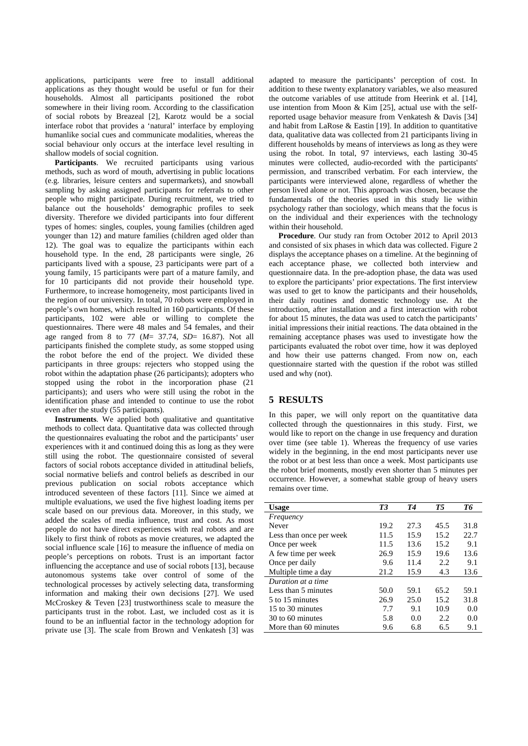applications, participants were free to install additional applications as they thought would be useful or fun for their households. Almost all participants positioned the robot somewhere in their living room. According to the classification of social robots by Breazeal [2], Karotz would be a social interface robot that provides a 'natural' interface by employing humanlike social cues and communicate modalities, whereas the social behaviour only occurs at the interface level resulting in shallow models of social cognition.

Participants. We recruited participants using various methods, such as word of mouth, advertising in public locations (e.g. libraries, leisure centers and supermarkets), and snowball sampling by asking assigned participants for referrals to other people who might participate. During recruitment, we tried to balance out the households' demographic profiles to seek diversity. Therefore we divided participants into four different types of homes: singles, couples, young families (children aged younger than 12) and mature families (children aged older than 12). The goal was to equalize the participants within each household type. In the end, 28 participants were single, 26 participants lived with a spouse, 23 participants were part of a young family, 15 participants were part of a mature family, and for 10 participants did not provide their household type. Furthermore, to increase homogeneity, most participants lived in the region of our university. In total, 70 robots were employed in people's own homes, which resulted in 160 participants. Of these participants, 102 were able or willing to complete the questionnaires. There were 48 males and 54 females, and their age ranged from 8 to 77 (*M*= 37.74, *SD*= 16.87). Not all participants finished the complete study, as some stopped using the robot before the end of the project. We divided these participants in three groups: rejecters who stopped using the robot within the adaptation phase (26 participants); adopters who stopped using the robot in the incorporation phase (21 participants); and users who were still using the robot in the identification phase and intended to continue to use the robot even after the study (55 participants).

**Instruments**. We applied both qualitative and quantitative methods to collect data. Quantitative data was collected through the questionnaires evaluating the robot and the participants' user experiences with it and continued doing this as long as they were still using the robot. The questionnaire consisted of several factors of social robots acceptance divided in attitudinal beliefs, social normative beliefs and control beliefs as described in our previous publication on social robots acceptance which introduced seventeen of these factors [11]. Since we aimed at multiple evaluations, we used the five highest loading items per scale based on our previous data. Moreover, in this study, we added the scales of media influence, trust and cost. As most people do not have direct experiences with real robots and are likely to first think of robots as movie creatures, we adapted the social influence scale [16] to measure the influence of media on people's perceptions on robots. Trust is an important factor influencing the acceptance and use of social robots [13], because autonomous systems take over control of some of the technological processes by actively selecting data, transforming information and making their own decisions [27]. We used McCroskey & Teven [23] trustworthiness scale to measure the participants trust in the robot. Last, we included cost as it is found to be an influential factor in the technology adoption for private use [3]. The scale from Brown and Venkatesh [3] was

adapted to measure the participants' perception of cost. In addition to these twenty explanatory variables, we also measured the outcome variables of use attitude from Heerink et al. [14], use intention from Moon & Kim [25], actual use with the selfreported usage behavior measure from Venkatesh & Davis [34] and habit from LaRose & Eastin [19]. In addition to quantitative data, qualitative data was collected from 21 participants living in different households by means of interviews as long as they were using the robot. In total, 97 interviews, each lasting 30-45 minutes were collected, audio-recorded with the participants' permission, and transcribed verbatim. For each interview, the participants were interviewed alone, regardless of whether the person lived alone or not. This approach was chosen, because the fundamentals of the theories used in this study lie within psychology rather than sociology, which means that the focus is on the individual and their experiences with the technology within their household.

**Procedure**. Our study ran from October 2012 to April 2013 and consisted of six phases in which data was collected. Figure 2 displays the acceptance phases on a timeline. At the beginning of each acceptance phase, we collected both interview and questionnaire data. In the pre-adoption phase, the data was used to explore the participants' prior expectations. The first interview was used to get to know the participants and their households, their daily routines and domestic technology use. At the introduction, after installation and a first interaction with robot for about 15 minutes, the data was used to catch the participants' initial impressions their initial reactions. The data obtained in the remaining acceptance phases was used to investigate how the participants evaluated the robot over time, how it was deployed and how their use patterns changed. From now on, each questionnaire started with the question if the robot was stilled used and why (not).

## **5 RESULTS**

In this paper, we will only report on the quantitative data collected through the questionnaires in this study. First, we would like to report on the change in use frequency and duration over time (see table 1). Whereas the frequency of use varies widely in the beginning, in the end most participants never use the robot or at best less than once a week. Most participants use the robot brief moments, mostly even shorter than 5 minutes per occurrence. However, a somewhat stable group of heavy users remains over time.

| <b>Usage</b>            | T3   | T4   | T5   | Тб   |
|-------------------------|------|------|------|------|
| Frequency               |      |      |      |      |
| Never                   | 19.2 | 27.3 | 45.5 | 31.8 |
| Less than once per week | 11.5 | 15.9 | 15.2 | 22.7 |
| Once per week           | 11.5 | 13.6 | 15.2 | 9.1  |
| A few time per week     | 26.9 | 15.9 | 19.6 | 13.6 |
| Once per daily          | 9.6  | 11.4 | 2.2  | 9.1  |
| Multiple time a day     | 21.2 | 15.9 | 4.3  | 13.6 |
| Duration at a time      |      |      |      |      |
| Less than 5 minutes     | 50.0 | 59.1 | 65.2 | 59.1 |
| 5 to 15 minutes         | 26.9 | 25.0 | 15.2 | 31.8 |
| 15 to 30 minutes        | 7.7  | 9.1  | 10.9 | 0.0  |
| 30 to 60 minutes        | 5.8  | 0.0  | 2.2  | 0.0  |
| More than 60 minutes    | 9.6  | 6.8  | 6.5  | 9.1  |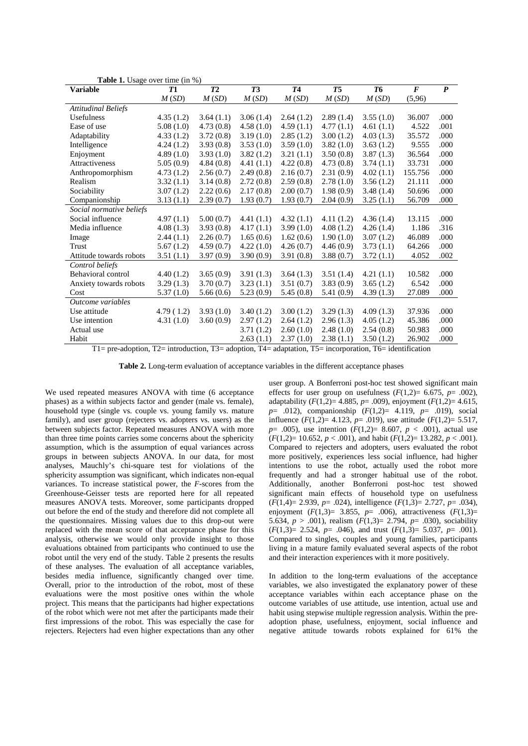| <b>Variable</b>            | <b>T1</b> | T2        | T3        | T <sub>4</sub> | T5        | T <sub>6</sub> | $\boldsymbol{F}$ | $\boldsymbol{P}$ |
|----------------------------|-----------|-----------|-----------|----------------|-----------|----------------|------------------|------------------|
|                            | M(SD)     | M(SD)     | M(SD)     | M(SD)          | M(SD)     | M(SD)          | (5,96)           |                  |
| <b>Attitudinal Beliefs</b> |           |           |           |                |           |                |                  |                  |
| <b>Usefulness</b>          | 4.35(1.2) | 3.64(1.1) | 3.06(1.4) | 2.64(1.2)      | 2.89(1.4) | 3.55(1.0)      | 36.007           | .000             |
| Ease of use                | 5.08(1.0) | 4.73(0.8) | 4.58(1.0) | 4.59(1.1)      | 4.77(1.1) | 4.61(1.1)      | 4.522            | .001             |
| Adaptability               | 4.33(1.2) | 3.72(0.8) | 3.19(1.0) | 2.85(1.2)      | 3.00(1.2) | 4.03(1.3)      | 35.572           | .000             |
| Intelligence               | 4.24(1.2) | 3.93(0.8) | 3.53(1.0) | 3.59(1.0)      | 3.82(1.0) | 3.63(1.2)      | 9.555            | .000             |
| Enjoyment                  | 4.89(1.0) | 3.93(1.0) | 3.82(1.2) | 3.21(1.1)      | 3.50(0.8) | 3.87(1.3)      | 36.564           | .000             |
| Attractiveness             | 5.05(0.9) | 4.84(0.8) | 4.41(1.1) | 4.22(0.8)      | 4.73(0.8) | 3.74(1.1)      | 33.731           | .000             |
| Anthropomorphism           | 4.73(1.2) | 2.56(0.7) | 2.49(0.8) | 2.16(0.7)      | 2.31(0.9) | 4.02(1.1)      | 155.756          | .000             |
| Realism                    | 3.32(1.1) | 3.14(0.8) | 2.72(0.8) | 2.59(0.8)      | 2.78(1.0) | 3.56(1.2)      | 21.111           | .000             |
| Sociability                | 3.07(1.2) | 2.22(0.6) | 2.17(0.8) | 2.00(0.7)      | 1.98(0.9) | 3.48(1.4)      | 50.696           | .000             |
| Companionship              | 3.13(1.1) | 2.39(0.7) | 1.93(0.7) | 1.93(0.7)      | 2.04(0.9) | 3.25(1.1)      | 56.709           | .000             |
| Social normative beliefs   |           |           |           |                |           |                |                  |                  |
| Social influence           | 4.97(1.1) | 5.00(0.7) | 4.41(1.1) | 4.32(1.1)      | 4.11(1.2) | 4.36(1.4)      | 13.115           | .000             |
| Media influence            | 4.08(1.3) | 3.93(0.8) | 4.17(1.1) | 3.99(1.0)      | 4.08(1.2) | 4.26(1.4)      | 1.186            | .316             |
| Image                      | 2.44(1.1) | 2.26(0.7) | 1.65(0.6) | 1.62(0.6)      | 1.90(1.0) | 3.07(1.2)      | 46.089           | .000             |
| Trust                      | 5.67(1.2) | 4.59(0.7) | 4.22(1.0) | 4.26(0.7)      | 4.46(0.9) | 3.73(1.1)      | 64.266           | .000             |
| Attitude towards robots    | 3.51(1.1) | 3.97(0.9) | 3.90(0.9) | 3.91(0.8)      | 3.88(0.7) | 3.72(1.1)      | 4.052            | .002             |
| Control beliefs            |           |           |           |                |           |                |                  |                  |
| Behavioral control         | 4.40(1.2) | 3.65(0.9) | 3.91(1.3) | 3.64(1.3)      | 3.51(1.4) | 4.21(1.1)      | 10.582           | .000             |
| Anxiety towards robots     | 3.29(1.3) | 3.70(0.7) | 3.23(1.1) | 3.51(0.7)      | 3.83(0.9) | 3.65(1.2)      | 6.542            | .000             |
| Cost                       | 5.37(1.0) | 5.66(0.6) | 5.23(0.9) | 5.45(0.8)      | 5.41(0.9) | 4.39(1.3)      | 27.089           | .000             |
| Outcome variables          |           |           |           |                |           |                |                  |                  |
| Use attitude               | 4.79(1.2) | 3.93(1.0) | 3.40(1.2) | 3.00(1.2)      | 3.29(1.3) | 4.09(1.3)      | 37.936           | .000             |
| Use intention              | 4.31(1.0) | 3.60(0.9) | 2.97(1.2) | 2.64(1.2)      | 2.96(1.3) | 4.05(1.2)      | 45.386           | .000             |
| Actual use                 |           |           | 3.71(1.2) | 2.60(1.0)      | 2.48(1.0) | 2.54(0.8)      | 50.983           | .000             |
| Habit                      |           |           | 2.63(1.1) | 2.37(1.0)      | 2.38(1.1) | 3.50(1.2)      | 26.902           | .000             |

**Table 1.** Usage over time (in %)

T1= pre-adoption, T2= introduction, T3= adoption, T4= adaptation, T5= incorporation, T6= identification

**Table 2.** Long-term evaluation of acceptance variables in the different acceptance phases

We used repeated measures ANOVA with time (6 acceptance phases) as a within subjects factor and gender (male vs. female), household type (single vs. couple vs. young family vs. mature family), and user group (rejecters vs. adopters vs. users) as the between subjects factor. Repeated measures ANOVA with more than three time points carries some concerns about the sphericity assumption, which is the assumption of equal variances across groups in between subjects ANOVA. In our data, for most analyses, Mauchly's chi-square test for violations of the sphericity assumption was significant, which indicates non-equal variances. To increase statistical power, the *F*-scores from the Greenhouse-Geisser tests are reported here for all repeated measures ANOVA tests. Moreover, some participants dropped out before the end of the study and therefore did not complete all the questionnaires. Missing values due to this drop-out were replaced with the mean score of that acceptance phase for this analysis, otherwise we would only provide insight to those evaluations obtained from participants who continued to use the robot until the very end of the study. Table 2 presents the results of these analyses. The evaluation of all acceptance variables, besides media influence, significantly changed over time. Overall, prior to the introduction of the robot, most of these evaluations were the most positive ones within the whole project. This means that the participants had higher expectations of the robot which were not met after the participants made their first impressions of the robot. This was especially the case for rejecters. Rejecters had even higher expectations than any other

user group. A Bonferroni post-hoc test showed significant main effects for user group on usefulness  $(F(1,2)= 6.675, p=.002)$ , adaptability  $(F(1,2)= 4.885, p = .009)$ , enjoyment  $(F(1,2)= 4.615,$ *p*= .012), companionship (*F*(1,2)= 4.119, *p*= .019), social influence  $(F(1,2)= 4.123, p=.019)$ , use attitude  $(F(1,2)= 5.517,$ *p*= .005), use intention  $(F(1,2)= 8.607, p < .001)$ , actual use  $(F(1,2)=10.652, p < .001)$ , and habit  $(F(1,2)=13.282, p < .001)$ . Compared to rejecters and adopters, users evaluated the robot more positively, experiences less social influence, had higher intentions to use the robot, actually used the robot more frequently and had a stronger habitual use of the robot. Additionally, another Bonferroni post-hoc test showed significant main effects of household type on usefulness (*F*(1,4)= 2.939, *p*= .024), intelligence (*F*(1,3)= 2.727, *p*= .034), enjoyment  $(F(1,3) = 3.855, p = .006)$ , attractiveness  $(F(1,3) = 3.855, p = .006)$ 5.634,  $p > .001$ ), realism  $(F(1,3) = 2.794, p = .030)$ , sociability (*F*(1,3)= 2.524, *p*= .046), and trust (*F*(1,3)= 5.037, *p*= .001). Compared to singles, couples and young families, participants living in a mature family evaluated several aspects of the robot and their interaction experiences with it more positively.

In addition to the long-term evaluations of the acceptance variables, we also investigated the explanatory power of these acceptance variables within each acceptance phase on the outcome variables of use attitude, use intention, actual use and habit using stepwise multiple regression analysis. Within the preadoption phase, usefulness, enjoyment, social influence and negative attitude towards robots explained for 61% the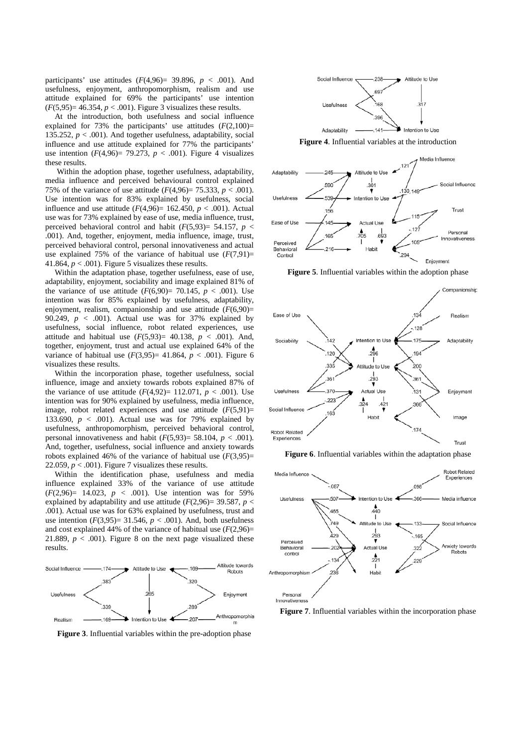participants' use attitudes  $(F(4,96) = 39.896, p < .001)$ . And usefulness, enjoyment, anthropomorphism, realism and use attitude explained for 69% the participants' use intention  $(F(5,95)=46.354, p < .001)$ . Figure 3 visualizes these results.

At the introduction, both usefulness and social influence explained for 73% the participants' use attitudes  $(F(2,100))$ = 135.252,  $p < .001$ ). And together usefulness, adaptability, social influence and use attitude explained for 77% the participants' use intention  $(F(4,96) = 79.273, p < .001)$ . Figure 4 visualizes these results.

Within the adoption phase, together usefulness, adaptability, media influence and perceived behavioural control explained 75% of the variance of use attitude  $(F(4,96) = 75.333, p < .001)$ . Use intention was for 83% explained by usefulness, social influence and use attitude  $(F(4, 96) = 162.450, p < .001)$ . Actual use was for 73% explained by ease of use, media influence, trust, perceived behavioral control and habit  $(F(5,93)) = 54.157$ ,  $p <$ .001). And, together, enjoyment, media influence, image, trust, perceived behavioral control, personal innovativeness and actual use explained 75% of the variance of habitual use  $(F(7,91))$ = 41.864,  $p < .001$ ). Figure 5 visualizes these results.

Within the adaptation phase, together usefulness, ease of use, adaptability, enjoyment, sociability and image explained 81% of the variance of use attitude  $(F(6,90) = 70.145, p < .001)$ . Use intention was for 85% explained by usefulness, adaptability, enjoyment, realism, companionship and use attitude  $(F(6,90)$ = 90.249,  $p < .001$ ). Actual use was for 37% explained by usefulness, social influence, robot related experiences, use attitude and habitual use  $(F(5,93)= 40.138, p < .001)$ . And, together, enjoyment, trust and actual use explained 64% of the variance of habitual use  $(F(3,95)= 41.864, p < .001)$ . Figure 6 visualizes these results.

Within the incorporation phase, together usefulness, social influence, image and anxiety towards robots explained 87% of the variance of use attitude  $(F(4,92)= 112.071, p < .001)$ . Use intention was for 90% explained by usefulness, media influence, image, robot related experiences and use attitude  $(F(5,91))$ = 133.690,  $p < .001$ ). Actual use was for 79% explained by usefulness, anthropomorphism, perceived behavioral control, personal innovativeness and habit  $(F(5,93)=58.104, p < .001)$ . And, together, usefulness, social influence and anxiety towards robots explained 46% of the variance of habitual use  $(F(3,95))$ = 22.059,  $p < .001$ ). Figure 7 visualizes these results.

Within the identification phase, usefulness and media influence explained 33% of the variance of use attitude  $(F(2,96)= 14.023, p < .001)$ . Use intention was for 59% explained by adaptability and use attitude  $(F(2,96)=39.587, p <$ .001). Actual use was for 63% explained by usefulness, trust and use intention  $(F(3,95)=31.546, p < .001)$ . And, both usefulness and cost explained 44% of the variance of habitual use  $(F(2,96))$ = 21.889,  $p < .001$ ). Figure 8 on the next page visualized these results.



**Figure 3**. Influential variables within the pre-adoption phase



**Figure 4**. Influential variables at the introduction



**Figure 5**. Influential variables within the adoption phase



**Figure 6**. Influential variables within the adaptation phase



**Figure 7**. Influential variables within the incorporation phase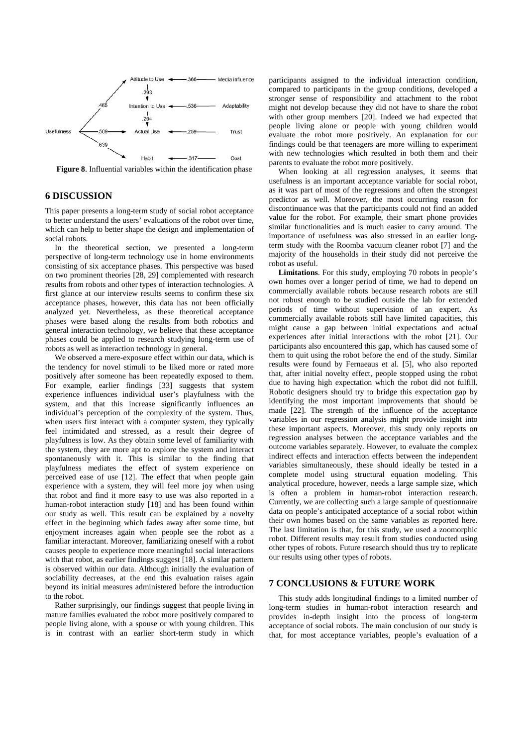

**Figure 8**. Influential variables within the identification phase

#### **6 DISCUSSION**

This paper presents a long-term study of social robot acceptance to better understand the users' evaluations of the robot over time, which can help to better shape the design and implementation of social robots.

In the theoretical section, we presented a long-term perspective of long-term technology use in home environments consisting of six acceptance phases. This perspective was based on two prominent theories [28, 29] complemented with research results from robots and other types of interaction technologies. A first glance at our interview results seems to confirm these six acceptance phases, however, this data has not been officially analyzed yet. Nevertheless, as these theoretical acceptance phases were based along the results from both robotics and general interaction technology, we believe that these acceptance phases could be applied to research studying long-term use of robots as well as interaction technology in general.

We observed a mere-exposure effect within our data, which is the tendency for novel stimuli to be liked more or rated more positively after someone has been repeatedly exposed to them. For example, earlier findings [33] suggests that system experience influences individual user's playfulness with the system, and that this increase significantly influences an individual's perception of the complexity of the system. Thus, when users first interact with a computer system, they typically feel intimidated and stressed, as a result their degree of playfulness is low. As they obtain some level of familiarity with the system, they are more apt to explore the system and interact spontaneously with it. This is similar to the finding that playfulness mediates the effect of system experience on perceived ease of use [12]. The effect that when people gain experience with a system, they will feel more joy when using that robot and find it more easy to use was also reported in a human-robot interaction study [18] and has been found within our study as well. This result can be explained by a novelty effect in the beginning which fades away after some time, but enjoyment increases again when people see the robot as a familiar interactant. Moreover, familiarizing oneself with a robot causes people to experience more meaningful social interactions with that robot, as earlier findings suggest [18]. A similar pattern is observed within our data. Although initially the evaluation of sociability decreases, at the end this evaluation raises again beyond its initial measures administered before the introduction to the robot.

Rather surprisingly, our findings suggest that people living in mature families evaluated the robot more positively compared to people living alone, with a spouse or with young children. This is in contrast with an earlier short-term study in which participants assigned to the individual interaction condition, compared to participants in the group conditions, developed a stronger sense of responsibility and attachment to the robot might not develop because they did not have to share the robot with other group members [20]. Indeed we had expected that people living alone or people with young children would evaluate the robot more positively. An explanation for our findings could be that teenagers are more willing to experiment with new technologies which resulted in both them and their parents to evaluate the robot more positively.

When looking at all regression analyses, it seems that usefulness is an important acceptance variable for social robot, as it was part of most of the regressions and often the strongest predictor as well. Moreover, the most occurring reason for discontinuance was that the participants could not find an added value for the robot. For example, their smart phone provides similar functionalities and is much easier to carry around. The importance of usefulness was also stressed in an earlier longterm study with the Roomba vacuum cleaner robot [7] and the majority of the households in their study did not perceive the robot as useful.

**Limitations**. For this study, employing 70 robots in people's own homes over a longer period of time, we had to depend on commercially available robots because research robots are still not robust enough to be studied outside the lab for extended periods of time without supervision of an expert. As commercially available robots still have limited capacities, this might cause a gap between initial expectations and actual experiences after initial interactions with the robot [21]. Our participants also encountered this gap, which has caused some of them to quit using the robot before the end of the study. Similar results were found by Fernaeaus et al. [5], who also reported that, after initial novelty effect, people stopped using the robot due to having high expectation which the robot did not fulfill. Robotic designers should try to bridge this expectation gap by identifying the most important improvements that should be made [22]. The strength of the influence of the acceptance variables in our regression analysis might provide insight into these important aspects. Moreover, this study only reports on regression analyses between the acceptance variables and the outcome variables separately. However, to evaluate the complex indirect effects and interaction effects between the independent variables simultaneously, these should ideally be tested in a complete model using structural equation modeling. This analytical procedure, however, needs a large sample size, which is often a problem in human-robot interaction research. Currently, we are collecting such a large sample of questionnaire data on people's anticipated acceptance of a social robot within their own homes based on the same variables as reported here. The last limitation is that, for this study, we used a zoomorphic robot. Different results may result from studies conducted using other types of robots. Future research should thus try to replicate our results using other types of robots.

## **7 CONCLUSIONS & FUTURE WORK**

This study adds longitudinal findings to a limited number of long-term studies in human-robot interaction research and provides in-depth insight into the process of long-term acceptance of social robots. The main conclusion of our study is that, for most acceptance variables, people's evaluation of a